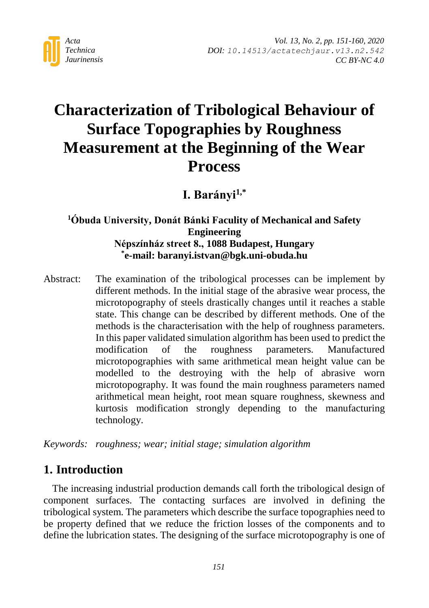

# **Characterization of Tribological Behaviour of Surface Topographies by Roughness Measurement at the Beginning of the Wear Process**

**I. Barányi1,\***

## **<sup>1</sup>Óbuda University, Donát Bánki Faculity of Mechanical and Safety Engineering Népszínház street 8., 1088 Budapest, Hungary \* e-mail: baranyi.istvan@bgk.uni-obuda.hu**

Abstract: The examination of the tribological processes can be implement by different methods. In the initial stage of the abrasive wear process, the microtopography of steels drastically changes until it reaches a stable state. This change can be described by different methods. One of the methods is the characterisation with the help of roughness parameters. In this paper validated simulation algorithm has been used to predict the modification of the roughness parameters. Manufactured microtopographies with same arithmetical mean height value can be modelled to the destroying with the help of abrasive worn microtopography. It was found the main roughness parameters named arithmetical mean height, root mean square roughness, skewness and kurtosis modification strongly depending to the manufacturing technology.

*Keywords: roughness; wear; initial stage; simulation algorithm*

# **1. Introduction**

The increasing industrial production demands call forth the tribological design of component surfaces. The contacting surfaces are involved in defining the tribological system. The parameters which describe the surface topographies need to be property defined that we reduce the friction losses of the components and to define the lubrication states. The designing of the surface microtopography is one of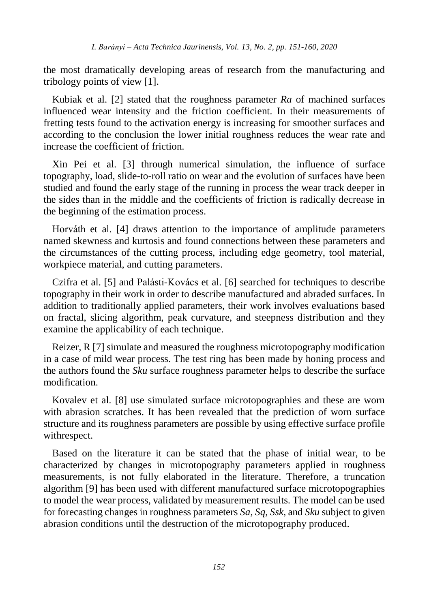the most dramatically developing areas of research from the manufacturing and tribology points of view [1].

Kubiak et al. [2] stated that the roughness parameter *Ra* of machined surfaces influenced wear intensity and the friction coefficient. In their measurements of fretting tests found to the activation energy is increasing for smoother surfaces and according to the conclusion the lower initial roughness reduces the wear rate and increase the coefficient of friction.

Xin Pei et al. [3] through numerical simulation, the influence of surface topography, load, slide-to-roll ratio on wear and the evolution of surfaces have been studied and found the early stage of the running in process the wear track deeper in the sides than in the middle and the coefficients of friction is radically decrease in the beginning of the estimation process.

Horváth et al. [4] draws attention to the importance of amplitude parameters named skewness and kurtosis and found connections between these parameters and the circumstances of the cutting process, including edge geometry, tool material, workpiece material, and cutting parameters.

Czifra et al. [5] and Palásti-Kovács et al. [6] searched for techniques to describe topography in their work in order to describe manufactured and abraded surfaces. In addition to traditionally applied parameters, their work involves evaluations based on fractal, slicing algorithm, peak curvature, and steepness distribution and they examine the applicability of each technique.

Reizer, R [7] simulate and measured the roughness microtopography modification in a case of mild wear process. The test ring has been made by honing process and the authors found the *Sku* surface roughness parameter helps to describe the surface modification.

Kovalev et al. [8] use simulated surface microtopographies and these are worn with abrasion scratches. It has been revealed that the prediction of worn surface structure and its roughness parameters are possible by using effective surface profile withrespect.

Based on the literature it can be stated that the phase of initial wear, to be characterized by changes in microtopography parameters applied in roughness measurements, is not fully elaborated in the literature. Therefore, a truncation algorithm [9] has been used with different manufactured surface microtopographies to model the wear process, validated by measurement results. The model can be used for forecasting changes in roughness parameters *Sa*, *Sq*, *Ssk*, and *Sku* subject to given abrasion conditions until the destruction of the microtopography produced.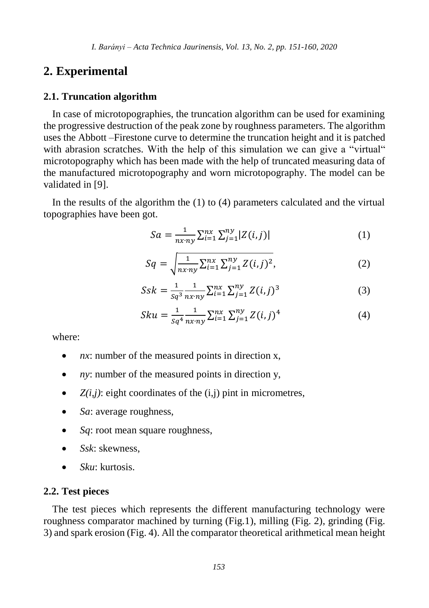### **2. Experimental**

#### **2.1. Truncation algorithm**

In case of microtopographies, the truncation algorithm can be used for examining the progressive destruction of the peak zone by roughness parameters. The algorithm uses the Abbott –Firestone curve to determine the truncation height and it is patched with abrasion scratches. With the help of this simulation we can give a "virtual" microtopography which has been made with the help of truncated measuring data of the manufactured microtopography and worn microtopography. The model can be validated in [9].

In the results of the algorithm the (1) to (4) parameters calculated and the virtual topographies have been got.

$$
Sa = \frac{1}{nx \cdot ny} \sum_{i=1}^{nx} \sum_{j=1}^{ny} |Z(i,j)|
$$
 (1)

$$
Sq = \sqrt{\frac{1}{nx\,ny} \sum_{i=1}^{nx} \sum_{j=1}^{ny} Z(i,j)^2},
$$
 (2)

$$
Ssk = \frac{1}{sq^3} \frac{1}{n x n y} \sum_{i=1}^{n x} \sum_{j=1}^{n y} Z(i,j)^3
$$
 (3)

$$
Sku = \frac{1}{sq^4} \frac{1}{nx \cdot ny} \sum_{i=1}^{nx} \sum_{j=1}^{ny} Z(i,j)^4
$$
 (4)

where:

- *nx*: number of the measured points in direction x,
- *ny*: number of the measured points in direction y,
- $\bullet$   $Z(i,j)$ : eight coordinates of the  $(i,j)$  pint in micrometres,
- *Sa*: average roughness,
- *Sq*: root mean square roughness,
- *Ssk*: skewness,
- *Sku*: kurtosis.

#### **2.2. Test pieces**

The test pieces which represents the different manufacturing technology were roughness comparator machined by turning (Fig.1), milling (Fig. 2), grinding (Fig. 3) and spark erosion (Fig. 4). All the comparator theoretical arithmetical mean height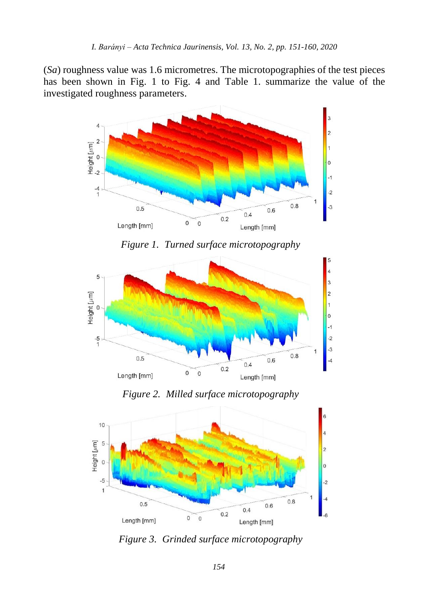(*Sa*) roughness value was 1.6 micrometres. The microtopographies of the test pieces has been shown in Fig. 1 to Fig. 4 and Table 1. summarize the value of the investigated roughness parameters.



*Figure 1. Turned surface microtopography* 



*Figure 2. Milled surface microtopography* 



*Figure 3. Grinded surface microtopography*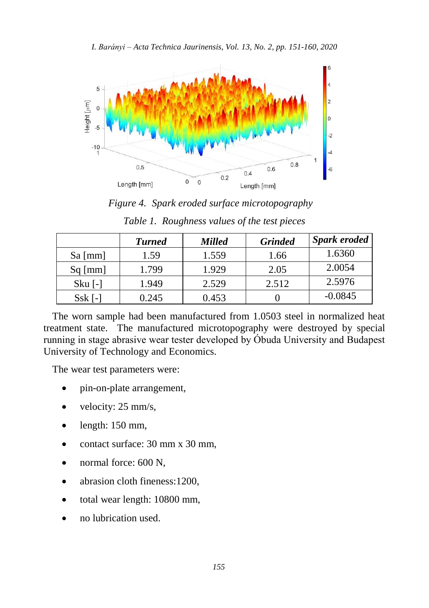



*Figure 4. Spark eroded surface microtopography* 

|              | <b>Turned</b> | <b>Milled</b> | <b>Grinded</b> | <b>Spark eroded</b> |
|--------------|---------------|---------------|----------------|---------------------|
| $Sa \, [mm]$ | 1.59          | 1.559         | 1.66           | 1.6360              |
| $Sq$ [mm]    | 1.799         | 1.929         | 2.05           | 2.0054              |
| $Sku$ [-]    | 1.949         | 2.529         | 2.512          | 2.5976              |
| Ssk I-       | 0.245         | 0.453         |                | $-0.0845$           |

| Table 1. Roughness values of the test pieces |  |  |  |
|----------------------------------------------|--|--|--|
|----------------------------------------------|--|--|--|

The worn sample had been manufactured from 1.0503 steel in normalized heat treatment state. The manufactured microtopography were destroyed by special running in stage abrasive wear tester developed by Óbuda University and Budapest University of Technology and Economics.

The wear test parameters were:

- pin-on-plate arrangement,
- velocity: 25 mm/s,
- $\bullet$  length: 150 mm,
- contact surface: 30 mm x 30 mm.
- normal force: 600 N.
- abrasion cloth fineness:1200,
- total wear length: 10800 mm,
- no lubrication used.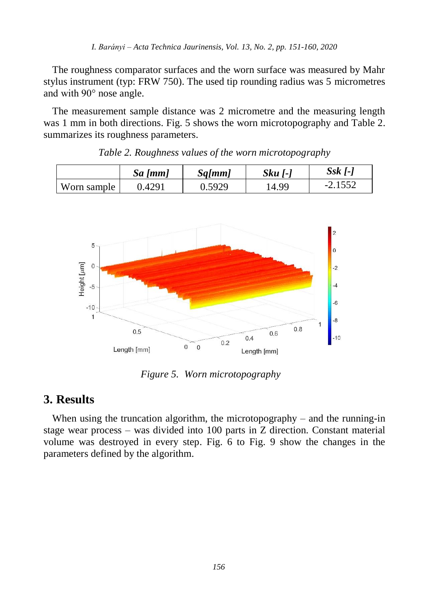The roughness comparator surfaces and the worn surface was measured by Mahr stylus instrument (typ: FRW 750). The used tip rounding radius was 5 micrometres and with 90° nose angle.

The measurement sample distance was 2 micrometre and the measuring length was 1 mm in both directions. Fig. 5 shows the worn microtopography and Table 2. summarizes its roughness parameters.

|             | $Sa \, [mm]$ | Sq[mm] | $Sku$ [- $\overline{S}$ ] | $S$ sk [-]        |
|-------------|--------------|--------|---------------------------|-------------------|
| Worn sample | ).4291       | J.5929 | 14.99                     | 1552<br>$-2.1332$ |

*Table 2. Roughness values of the worn microtopography*

|             | $5u$ [ $mn$ ] | $\frac{1}{2}$ | Jru 1-1 | $\sim$    |
|-------------|---------------|---------------|---------|-----------|
| Worn sample | 0.4291        | 0.5929        | .4.99   | $-2.1552$ |
|             |               |               |         |           |



*Figure 5. Worn microtopography*

# **3. Results**

When using the truncation algorithm, the microtopography – and the running-in stage wear process – was divided into 100 parts in Z direction. Constant material volume was destroyed in every step. Fig. 6 to Fig. 9 show the changes in the parameters defined by the algorithm.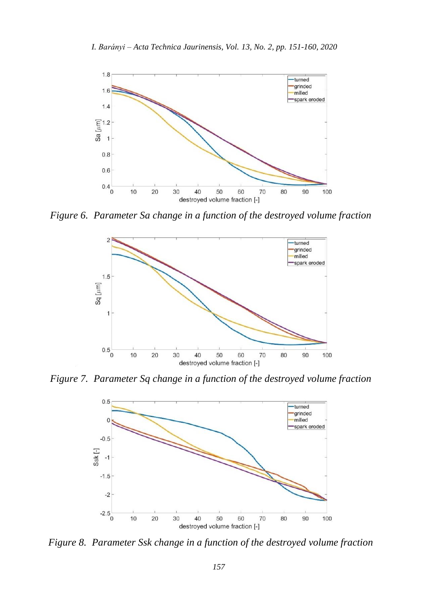

*Figure 6. Parameter Sa change in a function of the destroyed volume fraction*



*Figure 7. Parameter Sq change in a function of the destroyed volume fraction*



*Figure 8. Parameter Ssk change in a function of the destroyed volume fraction*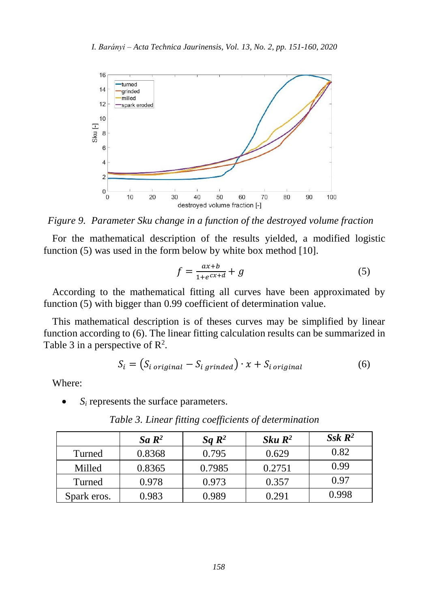

*Figure 9. Parameter Sku change in a function of the destroyed volume fraction*

For the mathematical description of the results yielded, a modified logistic function (5) was used in the form below by white box method [10].

$$
f = \frac{ax+b}{1+e^{cx+d}} + g \tag{5}
$$

According to the mathematical fitting all curves have been approximated by function (5) with bigger than 0.99 coefficient of determination value.

This mathematical description is of theses curves may be simplified by linear function according to (6). The linear fitting calculation results can be summarized in Table 3 in a perspective of  $\mathbb{R}^2$ .

$$
S_i = (S_{i \text{ original}} - S_{i \text{ grinded}}) \cdot x + S_{i \text{ original}}
$$
 (6)

Where:

*S<sup>i</sup>* represents the surface parameters.

|             | Sa $\mathbb{R}^2$ | Sa $\mathbb{R}^2$ | $Sku R^2$ | $S$ sk $\mathbb{R}^2$ |
|-------------|-------------------|-------------------|-----------|-----------------------|
| Turned      | 0.8368            | 0.795             | 0.629     | 0.82                  |
| Milled      | 0.8365            | 0.7985            | 0.2751    | 0.99                  |
| Turned      | 0.978             | 0.973             | 0.357     | 0.97                  |
| Spark eros. | 0.983             | 0.989             | 0.291     | 0.998                 |

*Table 3. Linear fitting coefficients of determination*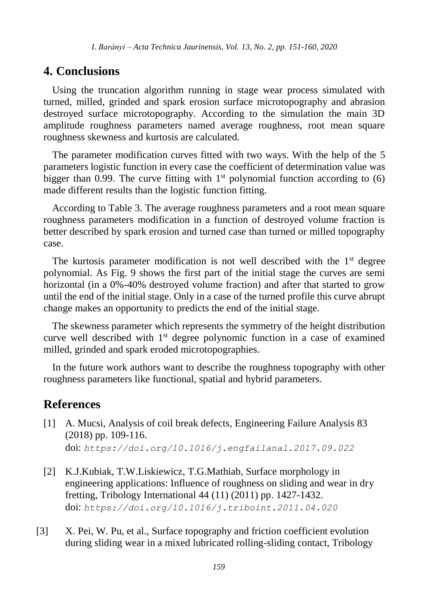# **4. Conclusions**

Using the truncation algorithm running in stage wear process simulated with turned, milled, grinded and spark erosion surface microtopography and abrasion destroyed surface microtopography. According to the simulation the main 3D amplitude roughness parameters named average roughness, root mean square roughness skewness and kurtosis are calculated.

The parameter modification curves fitted with two ways. With the help of the 5 parameters logistic function in every case the coefficient of determination value was bigger than 0.99. The curve fitting with  $1<sup>st</sup>$  polynomial function according to (6) made different results than the logistic function fitting.

According to Table 3. The average roughness parameters and a root mean square roughness parameters modification in a function of destroyed volume fraction is better described by spark erosion and turned case than turned or milled topography case.

The kurtosis parameter modification is not well described with the  $1<sup>st</sup>$  degree polynomial. As Fig. 9 shows the first part of the initial stage the curves are semi horizontal (in a 0%-40% destroyed volume fraction) and after that started to grow until the end of the initial stage. Only in a case of the turned profile this curve abrupt change makes an opportunity to predicts the end of the initial stage.

The skewness parameter which represents the symmetry of the height distribution curve well described with  $1<sup>st</sup>$  degree polynomic function in a case of examined milled, grinded and spark eroded microtopographies.

In the future work authors want to describe the roughness topography with other roughness parameters like functional, spatial and hybrid parameters.

# **References**

- [1] A. Mucsi, Analysis of coil break defects, Engineering Failure Analysis 83 (2018) pp. 109-116. doi: *[https://doi.org/10.1016/j.engfailanal.2017.09.022](http://dx.doi.org/10.14513/actatechjaur.v10.n2.446)*
- [2] K.J.Kubiak, T.W.Liskiewicz, T.G.Mathiab, Surface morphology in engineering applications: Influence of roughness on sliding and wear in dry fretting, Tribology International 44 (11) (2011) pp. 1427-1432. doi: *[https://doi.org/10.1016/j.triboint.2011.04.020](http://dx.doi.org/10.14513/actatechjaur.v10.n2.446)*
- [3] X. Pei, W. Pu, et al., Surface topography and friction coefficient evolution during sliding wear in a mixed lubricated rolling-sliding contact, Tribology